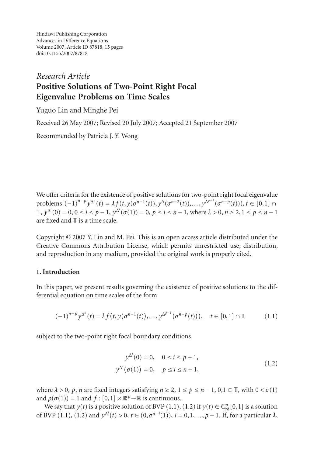Hindawi Publishing Corporation Advances in Difference Equations Volume 2007, Article ID 87818, [15](#page-13-0) pages doi:10.1155/2007/87818

# *Research Article* **Positive Solutions of Two-Point Right Focal Eigenvalue Problems on Time Scales**

Yuguo Lin and Minghe Pei

Received 26 May 2007; Revised 20 July 2007; Accepted 21 September 2007

Recommended by Patricia J. Y. Wong

We offer criteria for the existence of positive solutions for two-point right focal eigenvalue problems  $(-1)^{n-p} y^{\Delta^n}(t) = \lambda f(t, y(\sigma^{n-1}(t)), y^{\Delta}(\sigma^{n-2}(t)), \ldots, y^{\Delta^{p-1}}(\sigma^{n-p}(t))), t \in [0,1] \cap$  $\mathbb{T}$ ,  $y^{\Delta^i}(0) = 0$ , 0 ≤ *i* ≤ *p* − 1,  $y^{\Delta^i}(\sigma(1)) = 0$ , *p* ≤ *i* ≤ *n* − 1, where  $\lambda > 0$ , *n* ≥ 2, 1 ≤ *p* ≤ *n* − 1 are fixed and  $\mathbb T$  is a time scale.

Copyright © 2007 Y. Lin and M. Pei. This is an open access article distributed under the Creative Commons Attribution License, which permits unrestricted use, distribution, and reproduction in any medium, provided the original work is properly cited.

## **1. Introduction**

In this paper, we present results governing the existence of positive solutions to the differential equation on time scales of the form

$$
(-1)^{n-p} y^{\Delta^n}(t) = \lambda f(t, y(\sigma^{n-1}(t)), \dots, y^{\Delta^{p-1}}(\sigma^{n-p}(t))), \quad t \in [0,1] \cap \mathbb{T}
$$
 (1.1)

subject to the two-point right focal boundary conditions

<span id="page-0-1"></span><span id="page-0-0"></span>
$$
y^{\Delta^{i}}(0) = 0, \quad 0 \le i \le p - 1,y^{\Delta^{i}}(\sigma(1)) = 0, \quad p \le i \le n - 1,
$$
\n(1.2)

where  $\lambda > 0$ ,  $p$ ,  $n$  are fixed integers satisfying  $n \ge 2$ ,  $1 \le p \le n - 1$ ,  $0, 1 \in \mathbb{T}$ , with  $0 < \sigma(1)$ and  $\rho(\sigma(1)) = 1$  and  $f : [0,1] \times \mathbb{R}^p \rightarrow \mathbb{R}$  is continuous.

We say that *y*(*t*) is a positive solution of BVP [\(1.1\)](#page-0-0), [\(1.2\)](#page-0-1) if *y*(*t*)  $\in C_{\rm rd}^n[0,1]$  is a solution of BVP [\(1.1\)](#page-0-0), [\(1.2\)](#page-0-1) and  $y^{\Delta^i}(t) > 0$ ,  $t \in (0, \sigma^{n-i}(1))$ ,  $i = 0, 1, ..., p-1$ . If, for a particular  $\lambda$ ,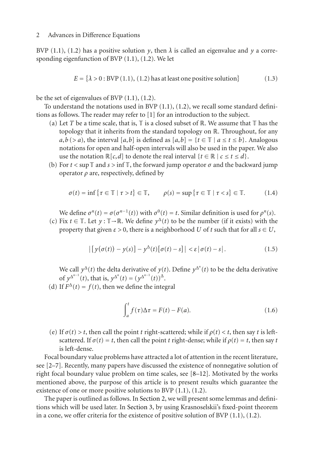BVP [\(1.1\)](#page-0-0), [\(1.2\)](#page-0-1) has a positive solution *y*, then  $\lambda$  is called an eigenvalue and *y* a corresponding eigenfunction of BVP [\(1.1\)](#page-0-0), [\(1.2\)](#page-0-1). We let

$$
E = \{\lambda > 0 : BVP(1.1), (1.2) \text{ has at least one positive solution}\}\
$$
 (1.3)

be the set of eigenvalues of BVP [\(1.1\)](#page-0-0), [\(1.2\)](#page-0-1).

To understand the notations used in BVP [\(1.1\)](#page-0-0), [\(1.2\)](#page-0-1), we recall some standard definitions as follows. The reader may refer to [\[1\]](#page-13-1) for an introduction to the subject.

- (a) Let *T* be a time scale, that is,  $\mathbb T$  is a closed subset of  $\mathbb R$ . We assume that  $\mathbb T$  has the topology that it inherits from the standard topology on R. Throughout, for any  $a, b$  (*> a*), the interval [*a*,*b*] is defined as [*a*,*b*] = {*t* ∈ T | *a* ≤ *t* ≤ *b*}. Analogous notations for open and half-open intervals will also be used in the paper. We also use the notation  $\mathbb{R}[c,d]$  to denote the real interval  $\{t \in \mathbb{R} \mid c \le t \le d\}$ .
- (b) For  $t < \sup$  T and  $s > \inf$  T, the forward jump operator  $\sigma$  and the backward jump operator *ρ* are, respectively, defined by

$$
\sigma(t) = \inf \{ \tau \in \mathbb{T} \mid \tau > t \} \in \mathbb{T}, \qquad \rho(s) = \sup \{ \tau \in \mathbb{T} \mid \tau < s \} \in \mathbb{T}. \tag{1.4}
$$

We define  $\sigma^n(t) = \sigma(\sigma^{n-1}(t))$  with  $\sigma^0(t) = t$ . Similar definition is used for  $\rho^n(s)$ .

(c) Fix  $t \in \mathbb{T}$ . Let  $y : \mathbb{T} \to \mathbb{R}$ . We define  $y^{\Delta}(t)$  to be the number (if it exists) with the property that given  $\varepsilon > 0$ , there is a neighborhood *U* of *t* such that for all  $s \in U$ ,

$$
\left| \left[ y(\sigma(t)) - y(s) \right] - y^{\Delta}(t) \left[ \sigma(t) - s \right] \right| < \varepsilon \left| \sigma(t) - s \right|.
$$
\n(1.5)

We call  $y^{\Delta}(t)$  the delta derivative of  $y(t)$ . Define  $y^{\Delta^n}(t)$  to be the delta derivative of  $y^{\Delta^{n-1}}(t)$ , that is,  $y^{\Delta^n}(t) = (y^{\Delta^{n-1}}(t))^{\Delta}$ .

(d) If  $F^{\Delta}(t) = f(t)$ , then we define the integral

$$
\int_{a}^{t} f(\tau) \Delta \tau = F(t) - F(a). \tag{1.6}
$$

(e) If  $\sigma(t) > t$ , then call the point *t* right-scattered; while if  $\rho(t) < t$ , then say *t* is leftscattered. If  $\sigma(t) = t$ , then call the point *t* right-dense; while if  $\rho(t) = t$ , then say *t* is left-dense.

Focal boundary value problems have attracted a lot of attention in the recent literature, see [\[2](#page-13-2)[–7](#page-13-3)]. Recently, many papers have discussed the existence of nonnegative solution of right focal boundary value problem on time scales, see [\[8](#page-13-4)[–12\]](#page-13-5). Motivated by the works mentioned above, the purpose of this article is to present results which guarantee the existence of one or more positive solutions to BVP [\(1.1\)](#page-0-0), [\(1.2\)](#page-0-1).

The paper is outlined as follows. In [Section 2,](#page-2-0) we will present some lemmas and definitions which will be used later. In [Section 3,](#page-5-0) by using Krasnoselskii's fixed-point theorem in a cone, we offer criteria for the existence of positive solution of BVP  $(1.1)$ ,  $(1.2)$ .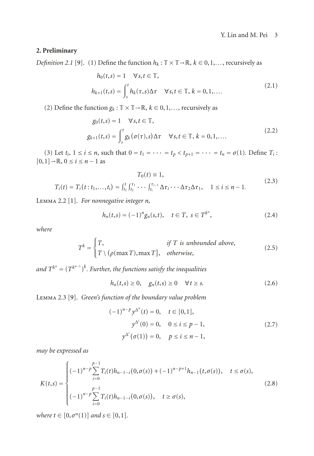## <span id="page-2-0"></span>**2. Preliminary**

*Definition 2.1* [\[9\]](#page-13-6). (1) Define the function  $h_k : \mathbb{T} \times \mathbb{T} \to \mathbb{R}$ ,  $k \in 0, 1, \ldots$ , recursively as

$$
h_0(t,s) = 1 \quad \forall s, t \in \mathbb{T},
$$
  
\n
$$
h_{k+1}(t,s) = \int_s^t h_k(\tau,s) \Delta \tau \quad \forall s, t \in \mathbb{T}, k = 0, 1, ....
$$
\n(2.1)

(2) Define the function  $g_k : \mathbb{T} \times \mathbb{T} \to \mathbb{R}$ ,  $k \in \{0, 1, \ldots\}$ , recursively as

$$
g_0(t,s) = 1 \quad \forall s, t \in \mathbb{T},
$$
  
\n
$$
g_{k+1}(t,s) = \int_s^t g_k(\sigma(\tau), s) \Delta \tau \quad \forall s, t \in \mathbb{T}, k = 0, 1, \dots
$$
\n(2.2)

(3) Let  $t_i$ ,  $1 \le i \le n$ , such that  $0 = t_1 = \cdots = t_p < t_{p+1} = \cdots = t_n = \sigma(1)$ . Define  $T_i$ :  $[0,1] \rightarrow \mathbb{R}$ ,  $0 \le i \le n-1$  as

$$
T_0(t) \equiv 1,
$$
  
\n
$$
T_i(t) = T_i(t : t_1, ..., t_i) = \int_{t_1}^t \int_{t_2}^{\tau_1} \cdots \int_{t_i}^{\tau_{i-1}} \Delta \tau_i \cdots \Delta \tau_2 \Delta \tau_1, \quad 1 \le i \le n - 1.
$$
\n(2.3)

<span id="page-2-1"></span>Lemma 2.2 [\[1\]](#page-13-1). *For nonnegative integer n,*

$$
h_n(t,s) = (-1)^n g_n(s,t), \quad t \in T, \ s \in T^{k^n}, \tag{2.4}
$$

*where*

$$
T^{k} = \begin{cases} T, & \text{if } T \text{ is unbounded above,} \\ T \setminus (\rho(\max T), \max T], & \text{otherwise,} \end{cases}
$$
 (2.5)

and  $T^{k^n} = (T^{k^{n-1}})^k$ . Further, the functions satisfy the inequalities

$$
h_n(t,s) \ge 0, \quad g_n(t,s) \ge 0 \quad \forall \, t \ge s. \tag{2.6}
$$

Lemma 2.3 [\[9\]](#page-13-6). *Green's function of the boundary value problem*

$$
(-1)^{n-p} y^{\Delta^n}(t) = 0, \quad t \in [0, 1],
$$
  
\n
$$
y^{\Delta^i}(0) = 0, \quad 0 \le i \le p - 1,
$$
  
\n
$$
y^{\Delta^i}(\sigma(1)) = 0, \quad p \le i \le n - 1,
$$
\n(2.7)

*may be expressed as*

$$
K(t,s) = \begin{cases} (-1)^{n-p} \sum_{i=0}^{p-1} T_i(t)h_{n-1-i}(0,\sigma(s)) + (-1)^{n-p+1}h_{n-1}(t,\sigma(s)), & t \le \sigma(s), \\ (-1)^{n-p} \sum_{i=0}^{p-1} T_i(t)h_{n-1-i}(0,\sigma(s)), & t \ge \sigma(s), \end{cases}
$$
(2.8)

*where*  $t \in [0, \sigma^n(1)]$  *and*  $s \in [0, 1]$ *.*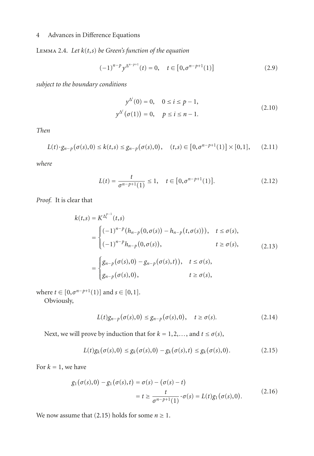<span id="page-3-2"></span>Lemma 2.4. *Let k*(*t*,*s*) *be Green's function of the equation*

$$
(-1)^{n-p} y^{\Delta^{n-p+1}}(t) = 0, \quad t \in [0, \sigma^{n-p+1}(1)]
$$
 (2.9)

*subject to the boundary conditions*

$$
y^{\Delta^{i}}(0) = 0, \quad 0 \le i \le p - 1,
$$
  

$$
y^{\Delta^{i}}(\sigma(1)) = 0, \quad p \le i \le n - 1.
$$
 (2.10)

*Then*

$$
L(t) \cdot g_{n-p}(\sigma(s),0) \le k(t,s) \le g_{n-p}(\sigma(s),0), \quad (t,s) \in [0,\sigma^{n-p+1}(1)] \times [0,1], \quad (2.11)
$$

*where*

$$
L(t) = \frac{t}{\sigma^{n-p+1}(1)} \le 1, \quad t \in [0, \sigma^{n-p+1}(1)].
$$
\n(2.12)

*Proof.* It is clear that

$$
k(t,s) = K^{\Delta_t^{p-1}}(t,s)
$$
  
= 
$$
\begin{cases} (-1)^{n-p} (h_{n-p}(0,\sigma(s)) - h_{n-p}(t,\sigma(s))), & t \le \sigma(s), \\ (-1)^{n-p} h_{n-p}(0,\sigma(s)), & t \ge \sigma(s), \end{cases}
$$
 (2.13)  
= 
$$
\begin{cases} g_{n-p}(\sigma(s),0) - g_{n-p}(\sigma(s),t)), & t \le \sigma(s), \\ g_{n-p}(\sigma(s),0), & t \ge \sigma(s), \end{cases}
$$

where  $t \in [0, \sigma^{n-p+1}(1)]$  and  $s \in [0,1]$ .

Obviously,

<span id="page-3-1"></span><span id="page-3-0"></span>
$$
L(t)g_{n-p}(\sigma(s),0) \le g_{n-p}(\sigma(s),0), \quad t \ge \sigma(s). \tag{2.14}
$$

Next, we will prove by induction that for  $k = 1, 2, \ldots$ , and  $t \le \sigma(s)$ ,

$$
L(t)g_k(\sigma(s),0) \le g_k(\sigma(s),0) - g_k(\sigma(s),t) \le g_k(\sigma(s),0). \tag{2.15}
$$

For  $k = 1$ , we have

$$
g_1(\sigma(s), 0) - g_1(\sigma(s), t) = \sigma(s) - (\sigma(s) - t)
$$
  
=  $t \ge \frac{t}{\sigma^{n-p+1}(1)} \cdot \sigma(s) = L(t)g_1(\sigma(s), 0).$  (2.16)

We now assume that [\(2.15\)](#page-3-0) holds for some  $n \geq 1$ .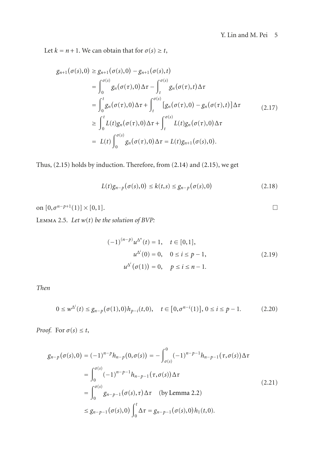$\Box$ 

Let  $k = n + 1$ . We can obtain that for  $\sigma(s) \geq t$ ,

$$
g_{n+1}(\sigma(s),0) \ge g_{n+1}(\sigma(s),0) - g_{n+1}(\sigma(s),t)
$$
  
\n
$$
= \int_0^{\sigma(s)} g_n(\sigma(\tau),0) \Delta \tau - \int_t^{\sigma(s)} g_n(\sigma(\tau),t) \Delta \tau
$$
  
\n
$$
= \int_0^t g_n(\sigma(\tau),0) \Delta \tau + \int_t^{\sigma(s)} [g_n(\sigma(\tau),0) - g_n(\sigma(\tau),t)] \Delta \tau
$$
  
\n
$$
\ge \int_0^t L(t) g_n(\sigma(\tau),0) \Delta \tau + \int_t^{\sigma(s)} L(t) g_n(\sigma(\tau),0) \Delta \tau
$$
  
\n
$$
= L(t) \int_0^{\sigma(s)} g_n(\sigma(\tau),0) \Delta \tau = L(t) g_{n+1}(\sigma(s),0).
$$
 (11)

Thus, [\(2.15\)](#page-3-0) holds by induction. Therefore, from [\(2.14\)](#page-3-1) and [\(2.15\)](#page-3-0), we get

$$
L(t)g_{n-p}(\sigma(s),0) \le k(t,s) \le g_{n-p}(\sigma(s),0)
$$
\n(2.18)

<span id="page-4-0"></span>on  $[0, \sigma^{n-p+1}(1)] \times [0,1].$ 

Lemma 2.5. *Let w*(*t*) *be the solution of BVP:*

$$
(-1)^{(n-p)}u^{\Delta^n}(t) = 1, \quad t \in [0,1],
$$
  
\n
$$
u^{\Delta^i}(0) = 0, \quad 0 \le i \le p-1,
$$
  
\n
$$
u^{\Delta^i}(\sigma(1)) = 0, \quad p \le i \le n-1.
$$
\n(2.19)

*Then*

$$
0 \leq w^{\Delta^{i}}(t) \leq g_{n-p}(\sigma(1), 0)h_{p-i}(t, 0), \quad t \in [0, \sigma^{n-i}(1)], 0 \leq i \leq p-1.
$$
 (2.20)

*Proof.* For  $\sigma(s) \leq t$ ,

$$
g_{n-p}(\sigma(s),0) = (-1)^{n-p} h_{n-p}(0,\sigma(s)) = -\int_{\sigma(s)}^0 (-1)^{n-p-1} h_{n-p-1}(\tau,\sigma(s)) \Delta \tau
$$
  
\n
$$
= \int_0^{\sigma(s)} (-1)^{n-p-1} h_{n-p-1}(\tau,\sigma(s)) \Delta \tau
$$
  
\n
$$
= \int_0^{\sigma(s)} g_{n-p-1}(\sigma(s),\tau) \Delta \tau \quad \text{(by Lemma 2.2)}
$$
  
\n
$$
\le g_{n-p-1}(\sigma(s),0) \int_0^t \Delta \tau = g_{n-p-1}(\sigma(s),0) h_1(t,0).
$$
 (2.21)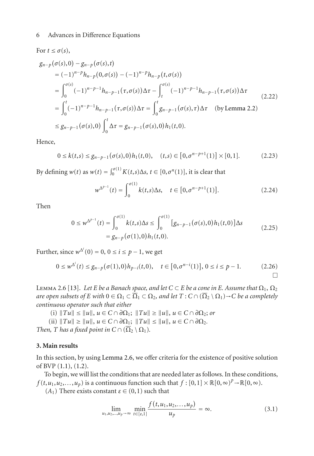$$
g_{n-p}(\sigma(s),0) - g_{n-p}(\sigma(s),t)
$$
  
\n
$$
= (-1)^{n-p} h_{n-p}(0,\sigma(s)) - (-1)^{n-p} h_{n-p}(t,\sigma(s))
$$
  
\n
$$
= \int_0^{\sigma(s)} (-1)^{n-p-1} h_{n-p-1}(\tau,\sigma(s)) \Delta \tau - \int_t^{\sigma(s)} (-1)^{n-p-1} h_{n-p-1}(\tau,\sigma(s)) \Delta \tau
$$
  
\n
$$
= \int_0^t (-1)^{n-p-1} h_{n-p-1}(\tau,\sigma(s)) \Delta \tau = \int_0^t g_{n-p-1}(\sigma(s),\tau) \Delta \tau \quad \text{(by Lemma 2.2)}
$$
  
\n
$$
\le g_{n-p-1}(\sigma(s),0) \int_0^t \Delta \tau = g_{n-p-1}(\sigma(s),0) h_1(t,0).
$$

Hence,

For  $t \leq \sigma(s)$ ,

$$
0 \le k(t,s) \le g_{n-p-1}(\sigma(s),0)h_1(t,0), \quad (t,s) \in [0,\sigma^{n-p+1}(1)] \times [0,1]. \tag{2.23}
$$

By defining  $w(t)$  as  $w(t) = \int_0^{\sigma(1)} K(t,s) \Delta s, t \in [0, \sigma^n(1)],$  it is clear that

$$
w^{\Delta^{p-1}}(t) = \int_0^{\sigma(1)} k(t,s) \Delta s, \quad t \in [0, \sigma^{n-p+1}(1)].
$$
 (2.24)

Then

$$
0 \leq w^{\Delta^{p-1}}(t) = \int_0^{\sigma(1)} k(t,s) \Delta s \leq \int_0^{\sigma(1)} [g_{n-p-1}(\sigma(s),0)h_1(t,0)] \Delta s
$$
  
=  $g_{n-p}(\sigma(1),0)h_1(t,0).$  (2.25)

Further, since  $w^{\Delta^i}(0) = 0$ ,  $0 \le i \le p - 1$ , we get

$$
0 \leq w^{\Delta^i}(t) \leq g_{n-p}(\sigma(1), 0)h_{p-i}(t, 0), \quad t \in [0, \sigma^{n-i}(1)], 0 \leq i \leq p-1.
$$
 (2.26)

<span id="page-5-1"></span>LEMMA 2.6 [\[13](#page-14-0)]. *Let E be a Banach space, and let*  $C \subset E$  *be a cone in E*. Assume that  $\Omega_1$ ,  $\Omega_2$ *are open subsets of E with*  $0 \in \Omega_1 \subset \overline{\Omega}_1 \subset \Omega_2$ , and let  $T : C \cap (\overline{\Omega}_2 \setminus \Omega_1) \rightarrow C$  be a completely *continuous operator such that either*

 $(|i)$   $||Tu|| \le ||u||, u \in C \cap \partial \Omega_1;$   $||Tu|| \ge ||u||, u \in C \cap \partial \Omega_2;$  or

 $\|Tu\| \geq \|u\|, u \in C \cap \partial \Omega_1; \|Tu\| \leq \|u\|, u \in C \cap \partial \Omega_2.$ 

*Then, T has a fixed point in*  $C \cap (\overline{\Omega}_2 \setminus \Omega_1)$ *.* 

## <span id="page-5-0"></span>**3. Main results**

In this section, by using [Lemma 2.6,](#page-5-1) we offer criteria for the existence of positive solution of BVP [\(1.1\)](#page-0-0), [\(1.2\)](#page-0-1).

To begin, we will list the conditions that are needed later as follows. In these conditions,  $f(t, u_1, u_2,..., u_p)$  is a continuous function such that  $f : [0,1] \times \mathbb{R}[0,\infty)^p \to \mathbb{R}[0,\infty)$ .

(*A*<sub>1</sub>) There exists constant  $ε ∈ (0,1)$  such that

$$
\lim_{u_1, u_2, \dots, u_p \to \infty} \min_{t \in [e, 1]} \frac{f(t, u_1, u_2, \dots, u_p)}{u_p} = \infty.
$$
\n(3.1)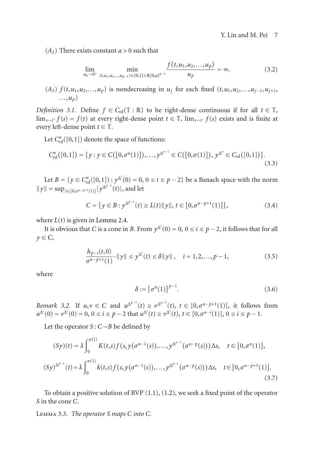$(A<sub>2</sub>)$  There exists constant  $a > 0$  such that

$$
\lim_{u_p \to 0^+} \min_{(t, u_1, u_2, \dots, u_{p-1}) \in [0, 1] \times \mathbb{R}[0, a]^{p-1}} \frac{f(t, u_1, u_2, \dots, u_p)}{u_p} = \infty.
$$
 (3.2)

(*A*<sub>3</sub>)  $f(t, u_1, u_2, \ldots, u_p)$  is nondecreasing in  $u_i$  for each fixed  $(t, u_1, u_2, \ldots, u_{i-1}, u_{i+1},$ *...*,*up*)

*Definition 3.1.* Define  $f \in C_{rd}(\mathbb{T} : \mathbb{R})$  to be right-dense continuous if for all  $t \in \mathbb{T}$ , lim<sub>*s*→*t*<sup>+</sup></sub>  $f(s) = f(t)$  at every right-dense point  $t \in \mathbb{T}$ , lim<sub>*s→t<sup>−</sup></sub>*  $f(s)$  exists and is finite at</sub> every left-dense point  $t \in \mathbb{T}$ .

Let  $C^n_{\text{rd}}([0,1])$  denote the space of functions:

$$
C_{\rm rd}^n([0,1]) = \{ y : y \in C([0,\sigma^n(1)]), \ldots, y^{\Delta^{n-1}} \in C([0,\sigma(1)]), y^{\Delta^n} \in C_{\rm rd}([0,1]) \}.
$$
\n(3.3)

Let  $B = \{y \in C^n_{\text{rd}}([0,1]) : y^{\Delta^i}(0) = 0, 0 \le i \le p-2\}$  be a Banach space with the norm  $||y|| = \sup_{t \in [0, \sigma^{n-p+1}(1)]} |y^{\Delta^{p-1}}(t)|$ , and let

$$
C = \{ y \in B : y^{\Delta^{p-1}}(t) \ge L(t) \| y \|, t \in [0, \sigma^{n-p+1}(1)] \},
$$
\n(3.4)

where  $L(t)$  is given in [Lemma 2.4.](#page-3-2)

It is obvious that *C* is a cone in *B*. From  $y^{\Delta^i}(0) = 0$ ,  $0 \le i \le p - 2$ , it follows that for all  $y \in C$ ,

$$
\frac{h_{p-i}(t,0)}{\sigma^{n-p+1}(1)} \cdot \|y\| \le y^{\Delta^i}(t) \le \delta \|y\| \,, \quad i = 1,2,\ldots, p-1,\tag{3.5}
$$

where

<span id="page-6-3"></span><span id="page-6-0"></span>
$$
\delta := \left[\sigma^n(1)\right]^{p-1}.\tag{3.6}
$$

<span id="page-6-2"></span>*Remark 3.2.* If  $u, v \in C$  and  $u^{\Delta^{p-1}}(t) \ge v^{\Delta^{p-1}}(t)$ ,  $t \in [0, \sigma^{n-p+1}(1)]$ , it follows from  $u^{\Delta^{i}}(0) = v^{\Delta^{i}}(0) = 0, 0 \le i \le p - 2$  that  $u^{\Delta^{i}}(t) \ge v^{\Delta^{i}}(t), t \in [0, \sigma^{n-i}(1)], 0 \le i \le p - 1$ .

Let the operator  $S: C \rightarrow B$  be defined by

$$
(Sy)(t) = \lambda \int_0^{\sigma(1)} K(t,s) f(s, y(\sigma^{n-1}(s)), \dots, y^{\Delta^{p-1}}(\sigma^{n-p}(s))) \Delta s, \quad t \in [0, \sigma^n(1)],
$$
  

$$
(Sy)^{\Delta^{p-1}}(t) = \lambda \int_0^{\sigma(1)} k(t,s) f(s, y(\sigma^{n-1}(s)), \dots, y^{\Delta^{p-1}}(\sigma^{n-p}(s))) \Delta s, \quad t \in [0, \sigma^{n-p+1}(1)].
$$
\n(3.7)

<span id="page-6-1"></span>To obtain a positive solution of BVP [\(1.1\)](#page-0-0), [\(1.2\)](#page-0-1), we seek a fixed point of the operator *S* in the cone *C*.

Lemma 3.3. *The operator S maps C into C.*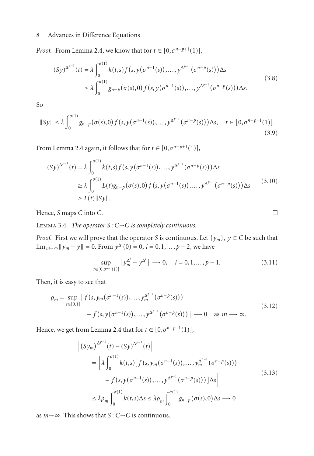*Proof.* From [Lemma 2.4,](#page-3-2) we know that for  $t \in [0, \sigma^{n-p+1}(1)],$ 

$$
(Sy)^{\Delta^{p-1}}(t) = \lambda \int_0^{\sigma(1)} k(t,s) f(s, y(\sigma^{n-1}(s)), \dots, y^{\Delta^{p-1}}(\sigma^{n-p}(s))) \Delta s
$$
  

$$
\leq \lambda \int_0^{\sigma(1)} g_{n-p}(\sigma(s), 0) f(s, y(\sigma^{n-1}(s)), \dots, y^{\Delta^{p-1}}(\sigma^{n-p}(s))) \Delta s.
$$
 (3.8)

So

$$
||Sy|| \leq \lambda \int_0^{\sigma(1)} g_{n-p}(\sigma(s), 0) f(s, y(\sigma^{n-1}(s)), \dots, y^{\Delta^{p-1}}(\sigma^{n-p}(s))) \Delta s, \quad t \in [0, \sigma^{n-p+1}(1)].
$$
\n(3.9)

From [Lemma 2.4](#page-3-2) again, it follows that for  $t \in [0, \sigma^{n-p+1}(1)],$ 

$$
(Sy)^{\Delta^{p-1}}(t) = \lambda \int_0^{\sigma(1)} k(t,s) f(s, y(\sigma^{n-1}(s)), \dots, y^{\Delta^{p-1}}(\sigma^{n-p}(s))) \Delta s
$$
  
\n
$$
\geq \lambda \int_0^{\sigma(1)} L(t) g_{n-p}(\sigma(s), 0) f(s, y(\sigma^{n-1}(s)), \dots, y^{\Delta^{p-1}}(\sigma^{n-p}(s))) \Delta s
$$
\n
$$
\geq L(t) \|Sy\|. \tag{3.10}
$$

Hence, *S* maps *C* into *C*. -

Lemma 3.4. *The operator S* : *C*→*C is completely continuous.*

*Proof.* First we will prove that the operator *S* is continuous. Let  $\{y_m\}$ ,  $y \in C$  be such that  $\lim_{m\to\infty}$  ||  $y_m$  −  $y$ || = 0. From  $y^{\Delta^i}(0) = 0$ ,  $i = 0, 1, ..., p - 2$ , we have

$$
\sup_{t \in [0,\sigma^{n-i}(1)]} |y_m^{\Delta^i} - y^{\Delta^i}| \longrightarrow 0, \quad i = 0, 1, ..., p-1.
$$
 (3.11)

 $\Box$ 

Then, it is easy to see that

$$
\rho_m = \sup_{s \in [0,1]} |f(s, y_m(\sigma^{n-1}(s)), \dots, y_m^{\Delta^{p-1}}(\sigma^{n-p}(s))) - f(s, y(\sigma^{n-1}(s)), \dots, y^{\Delta^{p-1}}(\sigma^{n-p}(s)))| \longrightarrow 0 \text{ as } m \longrightarrow \infty.
$$
\n(3.12)

Hence, we get from [Lemma 2.4](#page-3-2) that for  $t \in [0, \sigma^{n-p+1}(1)],$ 

$$
\begin{aligned}\n\left| \left( \mathbf{S} y_m \right)^{\Delta^{p-1}}(t) - \left( \mathbf{S} y \right)^{\Delta^{p-1}}(t) \right| \\
&= \left| \lambda \int_0^{\sigma(1)} k(t,s) \left[ f \left( s, y_m(\sigma^{n-1}(s)), \dots, y_m^{\Delta^{p-1}}(\sigma^{n-p}(s)) \right) \right. \\
&\left. - f \left( s, y(\sigma^{n-1}(s)), \dots, y^{\Delta^{p-1}}(\sigma^{n-p}(s)) \right) \right] \Delta s \right| \\
&\leq \lambda \rho_m \int_0^{\sigma(1)} k(t,s) \Delta s \leq \lambda \rho_m \int_0^{\sigma(1)} g_{n-p}(\sigma(s),0) \Delta s \longrightarrow 0\n\end{aligned} \tag{3.13}
$$

as  $m \rightarrow \infty$ . This shows that *S* : *C*→*C* is continuous.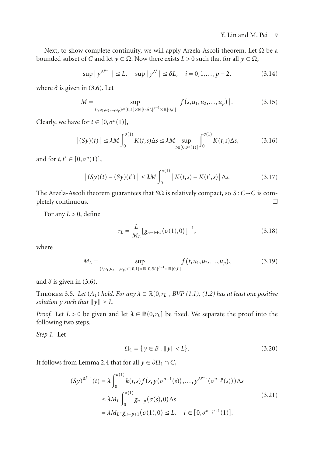Next, to show complete continuity, we will apply Arzela-Ascoli theorem. Let  $\Omega$  be a bounded subset of *<sup>C</sup>* and let *<sup>y</sup>* <sup>∈</sup> <sup>Ω</sup>. Now there exists *L >* 0 such that for all *<sup>y</sup>* <sup>∈</sup> <sup>Ω</sup>,

$$
\sup |y^{\Delta^{p-1}}| \le L, \quad \sup |y^{\Delta^i}| \le \delta L, \quad i = 0, 1, ..., p-2,
$$
 (3.14)

where  $\delta$  is given in [\(3.6\)](#page-6-0). Let

$$
M = \sup_{(s,u_1,u_2,...,u_p)\in[0,1]\times\mathbb{R}[0,\delta L]^{p-1}\times\mathbb{R}[0,L]}|f(s,u_1,u_2,...,u_p)|. \tag{3.15}
$$

Clearly, we have for  $t \in [0, \sigma^n(1)]$ ,

$$
|(Sy)(t)| \le \lambda M \int_0^{\sigma(1)} K(t,s) \Delta s \le \lambda M \sup_{t \in [0,\sigma^n(1)]} \int_0^{\sigma(1)} K(t,s) \Delta s,
$$
 (3.16)

and for  $t, t' \in [0, \sigma^n(1)],$ 

$$
\left| (Sy)(t) - (Sy)(t') \right| \le \lambda M \int_0^{\sigma(1)} \left| K(t,s) - K(t',s) \right| \Delta s. \tag{3.17}
$$

The Arzela-Ascoli theorem guarantees that *S* $\Omega$  is relatively compact, so *S* : *C*  $\rightarrow$  *C* is completely continuous.  $\Box$ 

For any  $L > 0$ , define

$$
r_L = \frac{L}{M_L} \left[ g_{n-p+1}(\sigma(1), 0) \right]^{-1}, \tag{3.18}
$$

where

$$
M_L = \sup_{(t, u_1, u_2, \dots, u_p) \in [0, 1] \times \mathbb{R}[0, \delta L]^{p-1} \times \mathbb{R}[0, L]} f(t, u_1, u_2, \dots, u_p), \tag{3.19}
$$

<span id="page-8-0"></span>and  $\delta$  is given in [\(3.6\)](#page-6-0).

THEOREM 3.5. Let  $(A_1)$  hold. For any  $\lambda \in \mathbb{R}(0,r_L]$ , BVP  $(1.1)$ ,  $(1.2)$  has at least one positive solution y such that  $||y|| \ge L$ .

*Proof.* Let  $L > 0$  be given and let  $\lambda \in \mathbb{R}(0, r_L]$  be fixed. We separate the proof into the following two steps.

*Step 1.* Let

$$
\Omega_1 = \{ y \in B : ||y|| < L \}. \tag{3.20}
$$

It follows from [Lemma 2.4](#page-3-2) that for all  $y \in \partial \Omega_1 \cap C$ ,

$$
(Sy)^{\Delta^{p-1}}(t) = \lambda \int_0^{\sigma(1)} k(t,s) f(s, y(\sigma^{n-1}(s)),..., y^{\Delta^{p-1}}(\sigma^{n-p}(s))) \Delta s
$$
  

$$
\leq \lambda M_L \int_0^{\sigma(1)} g_{n-p}(\sigma(s), 0) \Delta s
$$
  

$$
= \lambda M_L \cdot g_{n-p+1}(\sigma(1), 0) \leq L, \quad t \in [0, \sigma^{n-p+1}(1)].
$$
 (3.21)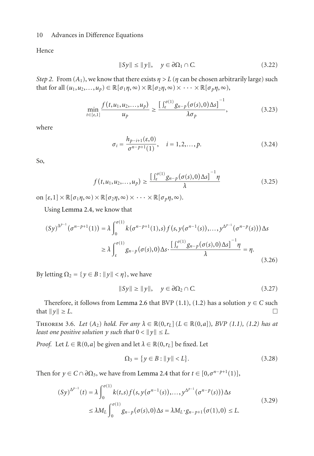Hence

$$
||Sy|| \le ||y||, \quad y \in \partial \Omega_1 \cap C. \tag{3.22}
$$

*Step 2.* From  $(A_1)$ , we know that there exists  $\eta > L$  ( $\eta$  can be chosen arbitrarily large) such that for all  $(u_1, u_2, \ldots, u_p) \in \mathbb{R}[\sigma_1 \eta, \infty) \times \mathbb{R}[\sigma_2 \eta, \infty) \times \cdots \times \mathbb{R}[\sigma_p \eta, \infty)$ ,

$$
\min_{t \in [\varepsilon, 1]} \frac{f(t, u_1, u_2, \dots, u_p)}{u_p} \ge \frac{\left[\int_{\varepsilon}^{\sigma(1)} g_{n-p}(\sigma(s), 0) \Delta s\right]^{-1}}{\lambda \sigma_p},\tag{3.23}
$$

where

$$
\sigma_i = \frac{h_{p-i+1}(\varepsilon, 0)}{\sigma^{n-p+1}(1)}, \quad i = 1, 2, \dots, p.
$$
 (3.24)

So,

$$
f(t, u_1, u_2, \dots, u_p) \ge \frac{\left[\int_{\varepsilon}^{\sigma(1)} g_{n-p}(\sigma(s), 0) \Delta s\right]^{-1} \eta}{\lambda}
$$
\n(3.25)

on  $[\varepsilon, 1] \times \mathbb{R}[\sigma_1 \eta, \infty) \times \mathbb{R}[\sigma_2 \eta, \infty) \times \cdots \times \mathbb{R}[\sigma_p \eta, \infty)$ .

Using [Lemma 2.4,](#page-3-2) we know that

$$
(Sy)^{\Delta^{p-1}}(\sigma^{n-p+1}(1)) = \lambda \int_0^{\sigma(1)} k(\sigma^{n-p+1}(1), s) f(s, y(\sigma^{n-1}(s)), ..., y^{\Delta^{p-1}}(\sigma^{n-p}(s))) \Delta s
$$
  

$$
\geq \lambda \int_{\varepsilon}^{\sigma(1)} g_{n-p}(\sigma(s), 0) \Delta s \cdot \frac{[\int_{\varepsilon}^{\sigma(1)} g_{n-p}(\sigma(s), 0) \Delta s]^{-1} \eta}{\lambda} = \eta.
$$
 (3.26)

By letting  $\Omega_2 = \{ y \in B : ||y|| < \eta \}$ , we have

$$
||Sy|| \ge ||y||, \quad y \in \partial \Omega_2 \cap C. \tag{3.27}
$$

Therefore, it follows from [Lemma 2.6](#page-5-1) that BVP [\(1.1\)](#page-0-0), [\(1.2\)](#page-0-1) has a solution *y* ∈ *C* such at  $||y|| > I$ . that  $\|y\|$  $\geq L$ .

<span id="page-9-0"></span>THEOREM 3.6. *Let*  $(A_2)$  *hold. For any*  $\lambda \in \mathbb{R}(0, r_L]$   $(L \in \mathbb{R}(0, a])$ *, BVP*  $(1.1)$ *,*  $(1.2)$  *has at least one positive solution y such that*  $0 < ||y|| \leq L$ .

*Proof.* Let  $L \in \mathbb{R}(0, a]$  be given and let  $\lambda \in \mathbb{R}(0, r_L]$  be fixed. Let

$$
\Omega_3 = \{ y \in B : ||y|| < L \}. \tag{3.28}
$$

Then for  $y \in C \cap \partial \Omega_3$ , we have from [Lemma 2.4](#page-3-2) that for  $t \in [0, \sigma^{n-p+1}(1)]$ ,

$$
(Sy)^{\Delta^{p-1}}(t) = \lambda \int_0^{\sigma(1)} k(t,s) f(s, y(\sigma^{n-1}(s)), \dots, y^{\Delta^{p-1}}(\sigma^{n-p}(s))) \Delta s
$$
  

$$
\leq \lambda M_L \int_0^{\sigma(1)} g_{n-p}(\sigma(s), 0) \Delta s = \lambda M_L \cdot g_{n-p+1}(\sigma(1), 0) \leq L.
$$
 (3.29)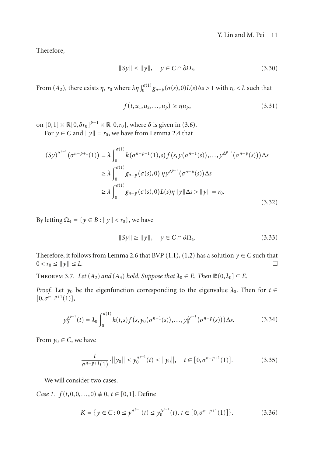Therefore,

$$
||Sy|| \le ||y||, \quad y \in C \cap \partial \Omega_3. \tag{3.30}
$$

From  $(A_2)$ , there exists  $\eta$ ,  $r_0$  where  $\lambda \eta \int_0^{\sigma(1)} g_{n-p}(\sigma(s),0)L(s)\Delta s > 1$  with  $r_0 < L$  such that

$$
f(t, u_1, u_2, \dots, u_p) \ge \eta u_p,\tag{3.31}
$$

on  $[0,1] \times \mathbb{R}[0,\delta r_0]^{p-1} \times \mathbb{R}[0,r_0]$ , where  $\delta$  is given in [\(3.6\)](#page-6-0).

For  $y \in C$  and  $||y|| = r_0$ , we have from [Lemma 2.4](#page-3-2) that

$$
(Sy)^{\Delta^{p-1}}(\sigma^{n-p+1}(1)) = \lambda \int_0^{\sigma(1)} k(\sigma^{n-p+1}(1), s) f(s, y(\sigma^{n-1}(s)), ..., y^{\Delta^{p-1}}(\sigma^{n-p}(s))) \Delta s
$$
  
\n
$$
\geq \lambda \int_0^{\sigma(1)} g_{n-p}(\sigma(s), 0) \eta y^{\Delta^{p-1}}(\sigma^{n-p}(s)) \Delta s
$$
  
\n
$$
\geq \lambda \int_0^{\sigma(1)} g_{n-p}(\sigma(s), 0) L(s) \eta ||y|| \Delta s > ||y|| = r_0.
$$
\n(3.32)

By letting  $\Omega_4 = \{ y \in B : ||y|| < r_0 \}$ , we have

$$
||Sy|| \ge ||y||, \quad y \in C \cap \partial \Omega_4. \tag{3.33}
$$

Therefore, it follows from [Lemma 2.6](#page-5-1) that BVP [\(1.1\)](#page-0-0), [\(1.2\)](#page-0-1) has a solution *y* ∈ *C* such that  $0 < r_0 < ||v|| < I$ .  $0 < r_0 \leq ||y||$  $\leq L$ .

<span id="page-10-0"></span>THEOREM 3.7. *Let*  $(A_2)$  *and*  $(A_3)$  *hold. Suppose that*  $\lambda_0 \in E$ *. Then*  $\mathbb{R}(0, \lambda_0) \subseteq E$ *.* 

*Proof.* Let  $y_0$  be the eigenfunction corresponding to the eigenvalue  $\lambda_0$ . Then for  $t \in$  $[0, \sigma^{n-p+1}(1)],$ 

$$
y_0^{\Delta^{p-1}}(t) = \lambda_0 \int_0^{\sigma(1)} k(t,s) f(s, y_0(\sigma^{n-1}(s)), \dots, y_0^{\Delta^{p-1}}(\sigma^{n-p}(s))) \Delta s. \tag{3.34}
$$

From  $y_0 \in C$ , we have

$$
\frac{t}{\sigma^{n-p+1}(1)} \cdot ||y_0|| \le y_0^{\Delta^{p-1}}(t) \le ||y_0||, \quad t \in [0, \sigma^{n-p+1}(1)]. \tag{3.35}
$$

We will consider two cases.

*Case 1.*  $f(t,0,0,...,0) \neq 0, t \in [0,1]$ . Define

$$
K = \{ y \in C : 0 \le y^{\Delta^{p-1}}(t) \le y_0^{\Delta^{p-1}}(t), t \in [0, \sigma^{n-p+1}(1)] \}.
$$
 (3.36)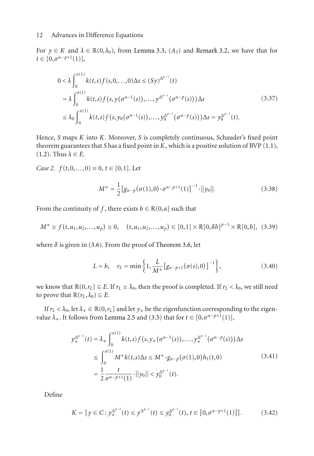For  $y \in K$  and  $\lambda \in \mathbb{R}(0, \lambda_0)$ , from [Lemma 3.3,](#page-6-1)  $(A_3)$  and [Remark 3.2,](#page-6-2) we have that for  $t \in [0, \sigma^{n-p+1}(1)],$ 

$$
0 < \lambda \int_0^{\sigma(1)} k(t,s) f(s,0,\dots,0) \Delta s \le (Sy)^{\Delta^{p-1}}(t)
$$
  
=  $\lambda \int_0^{\sigma(1)} k(t,s) f(s, y(\sigma^{n-1}(s)),\dots, y^{\Delta^{p-1}}(\sigma^{n-p}(s))) \Delta s$  (3.37)  
 $\le \lambda_0 \int_0^{\sigma(1)} k(t,s) f(s, y_0(\sigma^{n-1}(s)),\dots, y_0^{\Delta^{p-1}}(\sigma^{n-p}(s))) \Delta s = y_0^{\Delta^{p-1}}(t).$ 

Hence, *S* maps *K* into *K*. Moreover, *S* is completely continuous, Schauder's fixed point theorem guarantees that *S* has a fixed point in *K*, which is a positive solution of BVP [\(1.1\)](#page-0-0),  $(1.2)$ . Thus  $\lambda \in E$ .

*Case 2.*  $f(t,0,...,0) \equiv 0, t \in [0,1]$ . Let

$$
M^* = \frac{1}{2} [g_{n-p}(\sigma(1),0) \cdot \sigma^{n-p+1}(1)]^{-1} \cdot ||y_0||. \tag{3.38}
$$

From the continuity of *f*, there exists  $b \in \mathbb{R}(0, a]$  such that

$$
M^* \ge f(t, u_1, u_2, \dots, u_p) \ge 0, \quad (t, u_1, u_2, \dots, u_p) \in [0, 1] \times \mathbb{R}[0, \delta b]^{p-1} \times \mathbb{R}[0, b], \quad (3.39)
$$

where  $\delta$  is given in [\(3.6\)](#page-6-0). From the proof of [Theorem 3.6,](#page-9-0) let

$$
L = b, \quad r_L = \min\left\{1, \frac{L}{M^*} [g_{n-p+1}(\sigma(s), 0)]^{-1}\right\},\tag{3.40}
$$

we know that  $\mathbb{R}(0,r_L] \subseteq E$ . If  $r_L \geq \lambda_0$ , then the proof is completed. If  $r_L < \lambda_0$ , we still need to prove that  $\mathbb{R}(r_L, \lambda_0) \subseteq E$ .

If  $r_L < \lambda_0$ , let  $\lambda_* \in \mathbb{R}(0, r_L]$  and let  $y_*$  be the eigenfunction corresponding to the eigenvalue  $\lambda_*$ . It follows from [Lemma 2.5](#page-4-0) and [\(3.5\)](#page-6-3) that for  $t \in [0, \sigma^{n-p+1}(1)]$ ,

$$
y_{*}^{\Delta^{p-1}}(t) = \lambda_{*} \int_{0}^{\sigma(1)} k(t,s) f(s, y_{*}(\sigma^{n-1}(s)),..., y_{*}^{\Delta^{p-1}}(\sigma^{n-p}(s))) \Delta s
$$
  
\n
$$
\leq \int_{0}^{\sigma(1)} M^{*} k(t,s) \Delta s \leq M^{*} \cdot g_{n-p}(\sigma(1),0) h_{1}(t,0)
$$
  
\n
$$
= \frac{1}{2} \frac{t}{\sigma^{n-p+1}(1)} \cdot ||y_{0}|| < y_{0}^{\Delta^{p-1}}(t).
$$
\n(3.41)

Define

$$
K = \{ y \in C : y_*^{\Delta^{p-1}}(t) \le y^{\Delta^{p-1}}(t) \le y_0^{\Delta^{p-1}}(t), t \in [0, \sigma^{n-p+1}(1)] \}.
$$
 (3.42)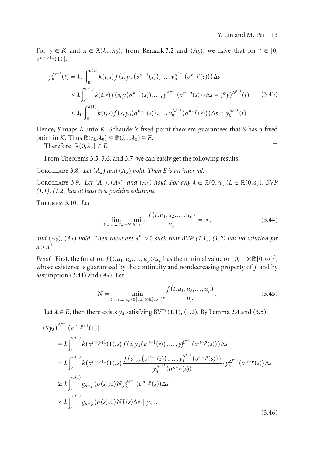For  $y \in K$  and  $\lambda \in \mathbb{R}(\lambda_*, \lambda_0)$ , from [Remark 3.2](#page-6-2) and  $(A_3)$ , we have that for  $t \in [0,$ *σ<sup>n</sup>*−*<sup>p</sup>*+1(1)],

$$
y_{*}^{\Delta^{p-1}}(t) = \lambda_{*} \int_{0}^{\sigma(1)} k(t,s) f(s, y_{*}(\sigma^{n-1}(s)),..., y_{*}^{\Delta^{p-1}}(\sigma^{n-p}(s))) \Delta s
$$
  
\n
$$
\leq \lambda \int_{0}^{\sigma(1)} k(t,s) f(s, y(\sigma^{n-1}(s)),..., y^{\Delta^{p-1}}(\sigma^{n-p}(s))) \Delta s = (Sy)^{\Delta^{p-1}}(t) \qquad (3.43)
$$
  
\n
$$
\leq \lambda_{0} \int_{0}^{\sigma(1)} k(t,s) f(s, y_{0}(\sigma^{n-1}(s)),..., y_{0}^{\Delta^{p-1}}(\sigma^{n-p}(s))) \Delta s = y_{0}^{\Delta^{p-1}}(t).
$$

Hence, *S* maps *K* into *K*. Schauder's fixed point theorem guarantees that *S* has a fixed point in *K*. Thus  $\mathbb{R}(r_L, \lambda_0) \subseteq \mathbb{R}(\lambda_*, \lambda_0) \subseteq E$ .

Therefore,  $\mathbb{R}(0,\lambda_0] \subset E$ .

From Theorems [3.5,](#page-8-0) [3.6,](#page-9-0) and [3.7,](#page-10-0) we can easily get the following results.

COROLLARY 3.8. Let  $(A_2)$  and  $(A_3)$  hold. Then E is an interval.

COROLLARY 3.9. Let  $(A_1)$ ,  $(A_2)$ , and  $(A_3)$  hold. For any  $\lambda \in \mathbb{R}(0,r_L]$   $(L \in \mathbb{R}(0,a])$ , BVP *[\(1.1\)](#page-0-0), [\(1.2\)](#page-0-1) has at least two positive solutions.*

Theorem 3.10. *Let*

<span id="page-12-0"></span>
$$
\lim_{u_1, u_2, \dots, u_p \to \infty} \min_{t \in [0,1]} \frac{f(t, u_1, u_2, \dots, u_p)}{u_p} = \infty,
$$
\n(3.44)

*and*  $(A_2)$ ,  $(A_3)$  *hold. Then there are*  $\lambda^* > 0$  *such that BVP* [\(1.1\)](#page-0-0)*,* [\(1.2\)](#page-0-1) *has no solution for*  $\lambda > \lambda^*$ .

*Proof.* First, the function  $f(t, u_1, u_2, \ldots, u_p)/u_p$  has the minimal value on  $[0, 1] \times \mathbb{R}[0, \infty)^p$ , whose existence is guaranteed by the continuity and nondecreasing property of *f* and by assumption  $(3.44)$  and  $(A<sub>2</sub>)$ . Let

$$
N = \min_{(t, u_1, \dots, u_p) \in [0, 1] \times \mathbb{R}[0, \infty)^p} \frac{f(t, u_1, u_2, \dots, u_p)}{u_p}.
$$
 (3.45)

Let  $\lambda \in E$ , then there exists  $y_{\lambda}$  satisfying BVP [\(1.1\)](#page-0-0), [\(1.2\)](#page-0-1). By [Lemma 2.4](#page-3-2) and [\(3.5\)](#page-6-3),

$$
(Sy_{\lambda})^{\Delta^{p-1}}(\sigma^{n-p+1}(1))
$$
\n
$$
= \lambda \int_{0}^{\sigma(1)} k(\sigma^{n-p+1}(1), s) f(s, y_{\lambda}(\sigma^{n-1}(s)), \ldots, y_{\lambda}^{\Delta^{p-1}}(\sigma^{n-p}(s))) \Delta s
$$
\n
$$
= \lambda \int_{0}^{\sigma(1)} k(\sigma^{n-p+1}(1), s) \frac{f(s, y_{\lambda}(\sigma^{n-1}(s)), \ldots, y_{\lambda}^{\Delta^{p-1}}(\sigma^{n-p}(s)))}{y_{\lambda}^{\Delta^{p-1}}(\sigma^{n-p}(s))} \cdot y_{\lambda}^{\Delta^{p-1}}(\sigma^{n-p}(s)) \Delta s
$$
\n
$$
\geq \lambda \int_{0}^{\sigma(1)} g_{n-p}(\sigma(s), 0) N y_{\lambda}^{\Delta^{p-1}}(\sigma^{n-p}(s)) \Delta s
$$
\n
$$
\geq \lambda \int_{0}^{\sigma(1)} g_{n-p}(\sigma(s), 0) N L(s) \Delta s \cdot ||y_{\lambda}||. \tag{3.46}
$$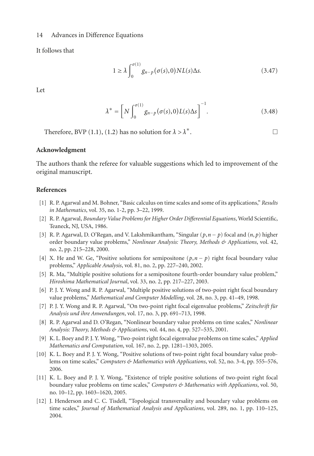It follows that

$$
1 \ge \lambda \int_0^{\sigma(1)} g_{n-p}(\sigma(s), 0) NL(s) \Delta s. \tag{3.47}
$$

Let

$$
\lambda^* = \left[ N \int_0^{\sigma(1)} g_{n-p}(\sigma(s), 0) L(s) \Delta s \right]^{-1}.
$$
\n(3.48)

Therefore, BVP [\(1.1\)](#page-0-0), [\(1.2\)](#page-0-1) has no solution for  $\lambda > \lambda^*$ .

### **Acknowledgment**

The authors thank the referee for valuable suggestions which led to improvement of the original manuscript.

## <span id="page-13-0"></span>**References**

- <span id="page-13-1"></span>[1] R. P. Agarwal and M. Bohner, "Basic calculus on time scales and some of its applications," *Results in Mathematics*, vol. 35, no. 1-2, pp. 3–22, 1999.
- <span id="page-13-2"></span>[2] R. P. Agarwal, *Boundary Value Problems for Higher Order Differential Equations*, World Scientific, Teaneck, NJ, USA, 1986.
- [3] R. P. Agarwal, D. O'Regan, and V. Lakshmikantham, "Singular (*p*,*n* − *p*) focal and (*n*, *p*) higher order boundary value problems," *Nonlinear Analysis: Theory, Methods & Applications*, vol. 42, no. 2, pp. 215–228, 2000.
- [4] X. He and W. Ge, "Positive solutions for semipositone (*p*,*n* − *p*) right focal boundary value problems," *Applicable Analysis*, vol. 81, no. 2, pp. 227–240, 2002.
- [5] R. Ma, "Multiple positive solutions for a semipositone fourth-order boundary value problem," *Hiroshima Mathematical Journal*, vol. 33, no. 2, pp. 217–227, 2003.
- [6] P. J. Y. Wong and R. P. Agarwal, "Multiple positive solutions of two-point right focal boundary value problems," *Mathematical and Computer Modelling*, vol. 28, no. 3, pp. 41–49, 1998.
- <span id="page-13-3"></span>[7] P. J. Y. Wong and R. P. Agarwal, "On two-point right focal eigenvalue problems," *Zeitschrift fur ¨ Analysis und ihre Anwendungen*, vol. 17, no. 3, pp. 691–713, 1998.
- <span id="page-13-4"></span>[8] R. P. Agarwal and D. O'Regan, "Nonlinear boundary value problems on time scales," *Nonlinear Analysis: Theory, Methods & Applications*, vol. 44, no. 4, pp. 527–535, 2001.
- <span id="page-13-6"></span>[9] K. L. Boey and P. J. Y. Wong, "Two-point right focal eigenvalue problems on time scales," *Applied Mathematics and Computation*, vol. 167, no. 2, pp. 1281–1303, 2005.
- [10] K. L. Boey and P. J. Y. Wong, "Positive solutions of two-point right focal boundary value problems on time scales," *Computers & Mathematics with Applications*, vol. 52, no. 3-4, pp. 555–576, 2006.
- [11] K. L. Boey and P. J. Y. Wong, "Existence of triple positive solutions of two-point right focal boundary value problems on time scales," *Computers & Mathematics with Applications*, vol. 50, no. 10–12, pp. 1603–1620, 2005.
- <span id="page-13-5"></span>[12] J. Henderson and C. C. Tisdell, "Topological transversality and boundary value problems on time scales," *Journal of Mathematical Analysis and Applications*, vol. 289, no. 1, pp. 110–125, 2004.